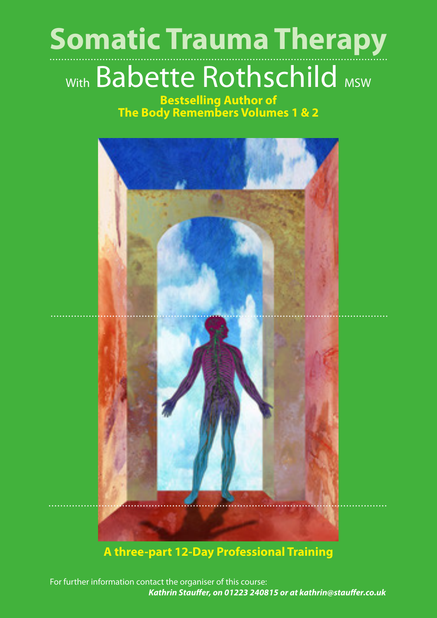# **Somatic Trauma Therapy**

## With Babette Rothschild MSW

**Bestselling Author of The Body Remembers Volumes 1 & 2**



## **A three-part 12-Day Professional Training**

For further information contact the organiser of this course:  *Kathrin Stauffer, on 01223 240815 or at kathrin@stauffer.co.uk*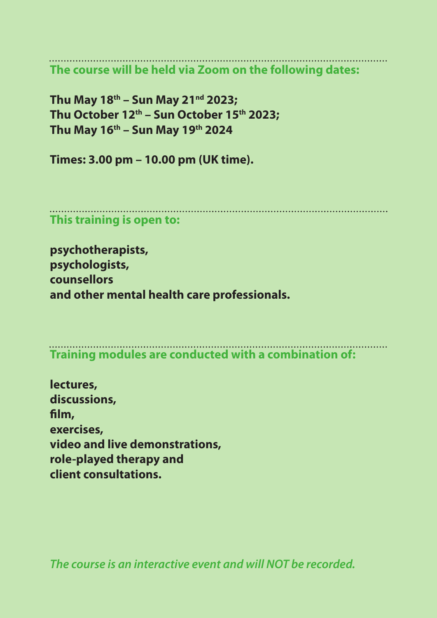**The course will be held via Zoom on the following dates:**

**Thu May 18th – Sun May 21nd 2023;**  Thu October 12<sup>th</sup> - Sun October 15<sup>th</sup> 2023; **Thu May 16th – Sun May 19th 2024** 

**Times: 3.00 pm – 10.00 pm (UK time).**

**This training is open to:**

**psychotherapists, psychologists, counsellors and other mental health care professionals.**

**Training modules are conducted with a combination of:**

**lectures, discussions, film, exercises, video and live demonstrations, role-played therapy and client consultations.**

*The course is an interactive event and will NOT be recorded.*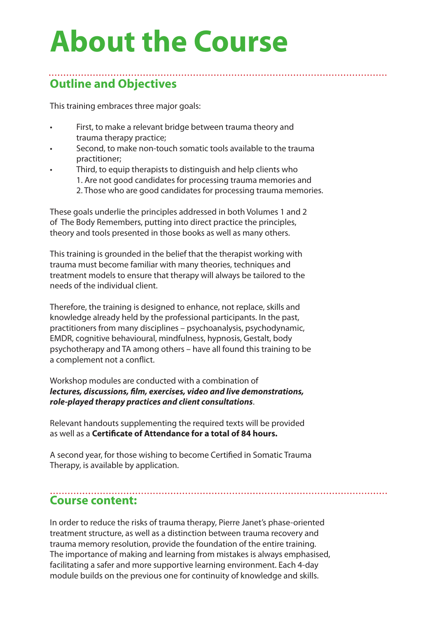## **About the Course**

## **Outline and Objectives**

This training embraces three major goals:

- First, to make a relevant bridge between trauma theory and trauma therapy practice;
- Second, to make non-touch somatic tools available to the trauma practitioner;

Third, to equip therapists to distinguish and help clients who 1. Are not good candidates for processing trauma memories and 2. Those who are good candidates for processing trauma memories.

These goals underlie the principles addressed in both Volumes 1 and 2 of The Body Remembers, putting into direct practice the principles, theory and tools presented in those books as well as many others.

This training is grounded in the belief that the therapist working with trauma must become familiar with many theories, techniques and treatment models to ensure that therapy will always be tailored to the needs of the individual client.

Therefore, the training is designed to enhance, not replace, skills and knowledge already held by the professional participants. In the past, practitioners from many disciplines – psychoanalysis, psychodynamic, EMDR, cognitive behavioural, mindfulness, hypnosis, Gestalt, body psychotherapy and TA among others – have all found this training to be a complement not a conflict.

Workshop modules are conducted with a combination of *lectures, discussions, film, exercises, video and live demonstrations, role-played therapy practices and client consultations*.

Relevant handouts supplementing the required texts will be provided as well as a **Certificate of Attendance for a total of 84 hours.**

A second year, for those wishing to become Certified in Somatic Trauma Therapy, is available by application.

#### **Course content:**

In order to reduce the risks of trauma therapy, Pierre Janet's phase-oriented treatment structure, as well as a distinction between trauma recovery and trauma memory resolution, provide the foundation of the entire training. The importance of making and learning from mistakes is always emphasised, facilitating a safer and more supportive learning environment. Each 4-day module builds on the previous one for continuity of knowledge and skills.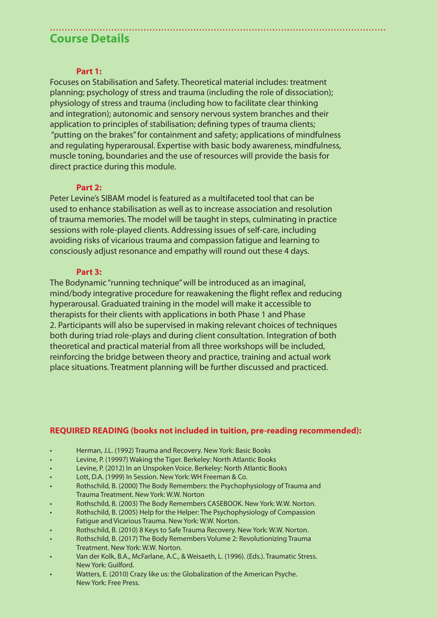## **Course Details**

#### **Part 1:**

Focuses on Stabilisation and Safety. Theoretical material includes: treatment planning; psychology of stress and trauma (including the role of dissociation); physiology of stress and trauma (including how to facilitate clear thinking and integration); autonomic and sensory nervous system branches and their application to principles of stabilisation; defining types of trauma clients; "putting on the brakes"for containment and safety; applications of mindfulness and regulating hyperarousal. Expertise with basic body awareness, mindfulness, muscle toning, boundaries and the use of resources will provide the basis for direct practice during this module.

#### **Part 2:**

Peter Levine's SIBAM model is featured as a multifaceted tool that can be used to enhance stabilisation as well as to increase association and resolution of trauma memories. The model will be taught in steps, culminating in practice sessions with role-played clients. Addressing issues of self-care, including avoiding risks of vicarious trauma and compassion fatigue and learning to consciously adjust resonance and empathy will round out these 4 days.

#### **Part 3:**

The Bodynamic "running technique"will be introduced as an imaginal, mind/body integrative procedure for reawakening the flight reflex and reducing hyperarousal. Graduated training in the model will make it accessible to therapists for their clients with applications in both Phase 1 and Phase 2. Participants will also be supervised in making relevant choices of techniques both during triad role-plays and during client consultation. Integration of both theoretical and practical material from all three workshops will be included, reinforcing the bridge between theory and practice, training and actual work place situations. Treatment planning will be further discussed and practiced.

#### **REQUIRED READING (books not included in tuition, pre-reading recommended):**

- Herman, J.L. (1992) Trauma and Recovery. New York: Basic Books
- Levine, P. (19997) Waking the Tiger. Berkeley: North Atlantic Books
- Levine, P. (2012) In an Unspoken Voice. Berkeley: North Atlantic Books
- Lott, D.A. (1999) In Session. New York: WH Freeman & Co.
- Rothschild, B. (2000) The Body Remembers: the Psychophysiology of Trauma and Trauma Treatment. New York: W.W. Norton
- Rothschild, B. (2003) The Body Remembers CASEBOOK. New York: W.W. Norton.
- Rothschild, B. (2005) Help for the Helper: The Psychophysiology of Compassion Fatigue and Vicarious Trauma. New York: W.W. Norton.
- Rothschild, B. (2010) 8 Keys to Safe Trauma Recovery. New York: W.W. Norton.
- Rothschild, B. (2017) The Body Remembers Volume 2: Revolutionizing Trauma Treatment. New York: W.W. Norton.
- Van der Kolk, B.A., McFarlane, A.C., & Weisaeth, L. (1996). (Eds.). Traumatic Stress. New York: Guilford.
- Watters, E. (2010) Crazy like us: the Globalization of the American Psyche. New York: Free Press.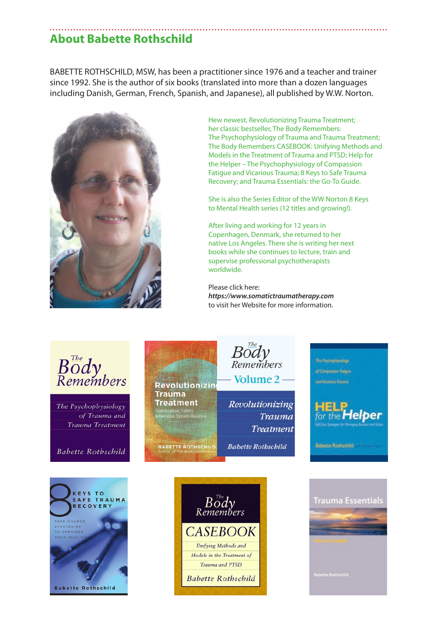## **About Babette Rothschild**

BABETTE ROTHSCHILD, MSW, has been a practitioner since 1976 and a teacher and trainer since 1992. She is the author of six books (translated into more than a dozen languages including Danish, German, French, Spanish, and Japanese), all published by W.W. Norton.



 Hew newest, Revolutionizing Trauma Treatment; her classic bestseller, The Body Remembers: The Psychophysiology of Trauma and Trauma Treatment; The Body Remembers CASEBOOK: Unifying Methods and Models in the Treatment of Trauma and PTSD; Help for the Helper – The Psychophysiology of Compassion Fatigue and Vicarious Trauma; 8 Keys to Safe Trauma Recovery; and Trauma Essentials: the Go-To Guide.

 She is also the Series Editor of the WW Norton 8 Keys to Mental Health series (12 titles and growing!).

 After living and working for 12 years in Copenhagen, Denmark, she returned to her native Los Angeles. There she is writing her next books while she continues to lecture, train and supervise professional psychotherapists worldwide.

Please click here:  *https://www.somatictraumatherapy.com* to visit her Website for more information.

Volume 2

Revolutionizing

**Babette Rothschild** 

Trauma

**Treatment** 



The Psychophysiology of Trauma and Trauma Treatment

**Babette Rothschild** 





**Revolutionizin** 

ation, Safety,<br>ius System Balance

**BABETTE ROTHSCHILD** 

**Trauma Treatment** 



**Babette Rothschild** 

d Vicarious Traume

ber